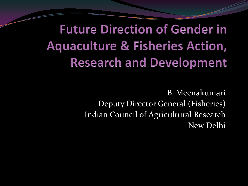**Future Direction of Gender in Aquaculture & Fisheries Action, Research and Development** 

> B. Meenakumari Deputy Director General (Fisheries) Indian Council of Agricultural Research New Delhi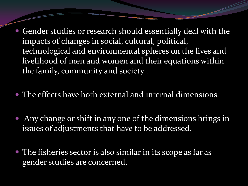- Gender studies or research should essentially deal with the impacts of changes in social, cultural, political, technological and environmental spheres on the lives and livelihood of men and women and their equations within the family, community and society .
- The effects have both external and internal dimensions.
- Any change or shift in any one of the dimensions brings in issues of adjustments that have to be addressed.
- The fisheries sector is also similar in its scope as far as gender studies are concerned.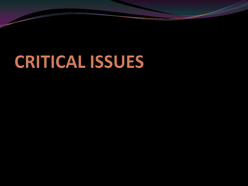# CRITICAL ISSUES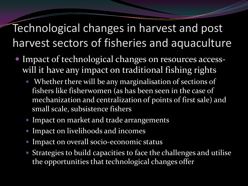#### Technological changes in harvest and post harvest sectors of fisheries and aquaculture

- Impact of technological changes on resources accesswill it have any impact on traditional fishing rights
	- Whether there will be any marginalisation of sections of fishers like fisherwomen (as has been seen in the case of mechanization and centralization of points of first sale) and small scale, subsistence fishers
	- **Impact on market and trade arrangements**
	- Impact on livelihoods and incomes
	- Impact on overall socio-economic status
	- Strategies to build capacities to face the challenges and utilise the opportunities that technological changes offer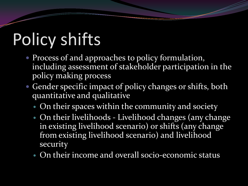# Policy shifts

- Process of and approaches to policy formulation, including assessment of stakeholder participation in the policy making process
- Gender specific impact of policy changes or shifts, both quantitative and qualitative
	- On their spaces within the community and society
	- On their livelihoods Livelihood changes (any change in existing livelihood scenario) or shifts (any change from existing livelihood scenario) and livelihood security
	- On their income and overall socio-economic status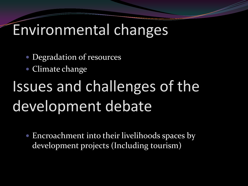### Environmental changes

- Degradation of resources
- Climate change

## Issues and challenges of the development debate

 Encroachment into their livelihoods spaces by development projects (Including tourism)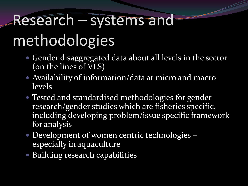# Research – systems and methodologies

- Gender disaggregated data about all levels in the sector (on the lines of VLS)
- Availability of information/data at micro and macro levels
- Tested and standardised methodologies for gender research/gender studies which are fisheries specific, including developing problem/issue specific framework for analysis
- Development of women centric technologies especially in aquaculture
- Building research capabilities